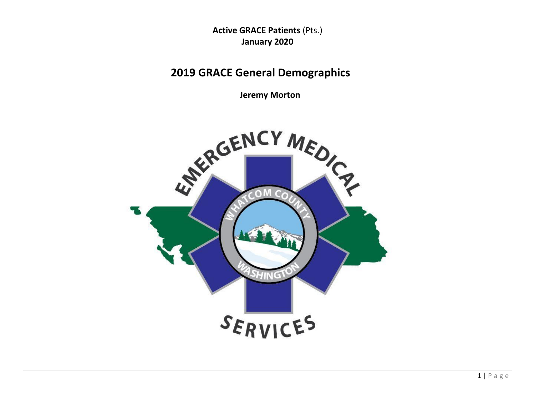**Active GRACE Patients** (Pts.) **January 2020**

# **2019 GRACE General Demographics**

**Jeremy Morton**

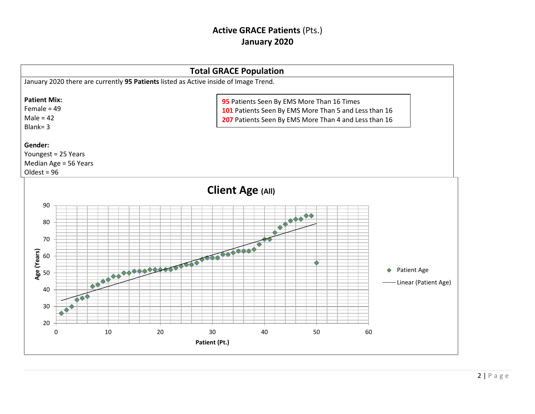## **Active GRACE Patients** (Pts.) **January 2020**

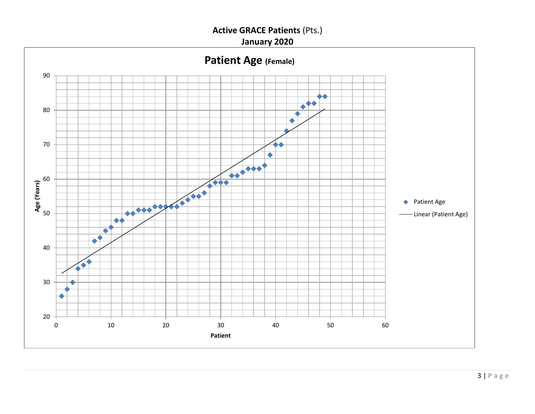**Active GRACE Patients** (Pts.)

**January 2020**

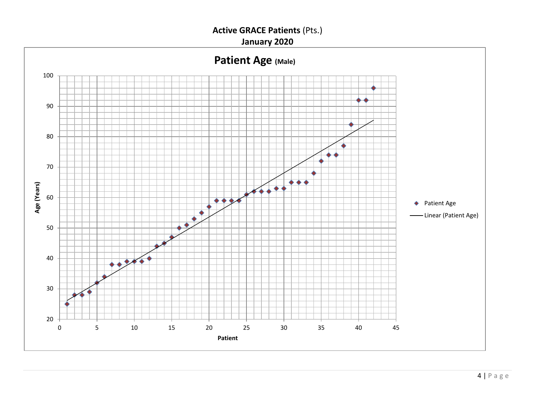**Active GRACE Patients** (Pts.)

**January 2020**

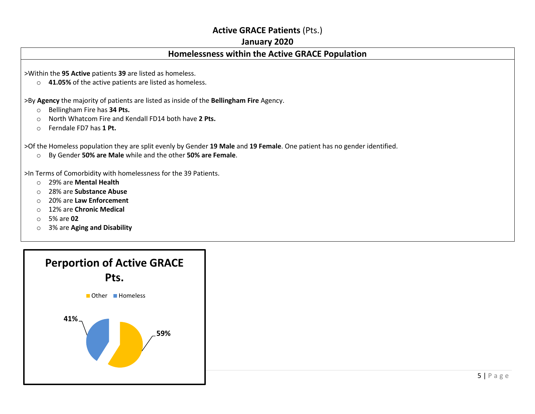## **Active GRACE Patients** (Pts.)

#### **January 2020**

## **Homelessness within the Active GRACE Population**

>Within the **95 Active** patients **39** are listed as homeless.

o **41.05%** of the active patients are listed as homeless.

>By **Agency** the majority of patients are listed as inside of the **Bellingham Fire** Agency.

- o Bellingham Fire has **34 Pts.**
- o North Whatcom Fire and Kendall FD14 both have **2 Pts.**
- o Ferndale FD7 has **1 Pt.**

>Of the Homeless population they are split evenly by Gender **19 Male** and **19 Female**. One patient has no gender identified.

o By Gender **50% are Male** while and the other **50% are Female**.

>In Terms of Comorbidity with homelessness for the 39 Patients.

- o 29% are **Mental Health**
- o 28% are **Substance Abuse**
- o 20% are **Law Enforcement**
- o 12% are **Chronic Medical**
- o 5% are **02**
- o 3% are **Aging and Disability**

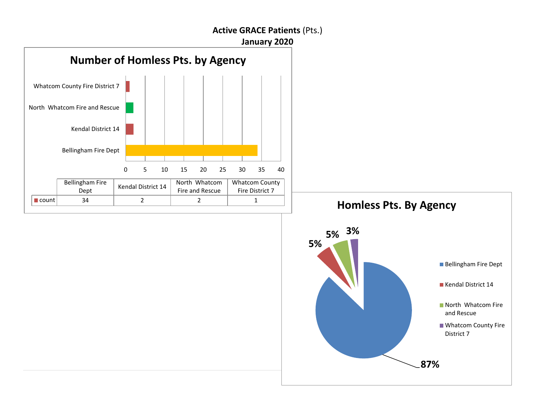### **Active GRACE Patients** (Pts.)

**January 2020**